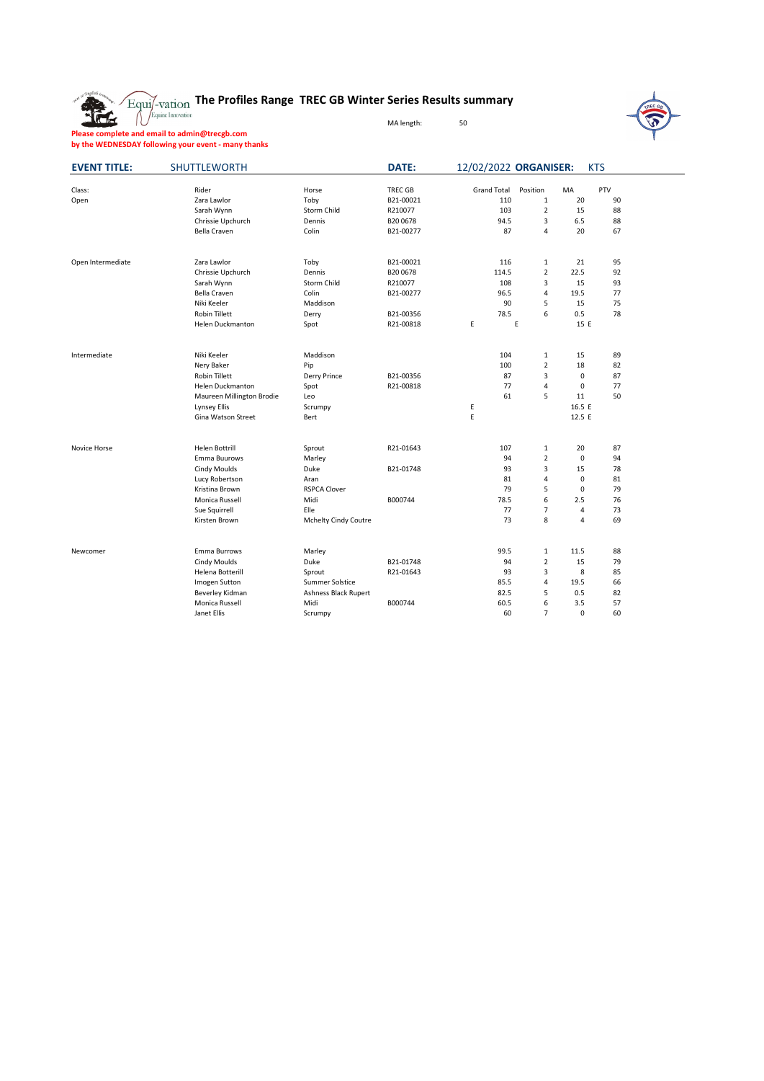

## **The Profiles Range TREC GB Winter Series Results summary**

MA length: 50



**Please complete and email to admin@trecgb.com by the WEDNESDAY following your event - many thanks**

| <b>EVENT TITLE:</b> | <b>SHUTTLEWORTH</b>         |                        | <b>DATE:</b>   | 12/02/2022 ORGANISER: |                     |             | <b>KTS</b>                                                                                                                                                                                                                                                      |  |
|---------------------|-----------------------------|------------------------|----------------|-----------------------|---------------------|-------------|-----------------------------------------------------------------------------------------------------------------------------------------------------------------------------------------------------------------------------------------------------------------|--|
| Class:              | Rider                       | Horse                  | <b>TREC GB</b> | <b>Grand Total</b>    | Position            | MA          |                                                                                                                                                                                                                                                                 |  |
| Open                | Zara Lawlor                 | Toby                   | B21-00021      | 110                   | 1                   | 20          |                                                                                                                                                                                                                                                                 |  |
|                     | Sarah Wynn                  | Storm Child            | R210077        | 103                   | $\overline{2}$      | 15          |                                                                                                                                                                                                                                                                 |  |
|                     | Chrissie Upchurch           | Dennis                 | B20 0678       | 94.5                  | 3                   | 6.5         | 88                                                                                                                                                                                                                                                              |  |
|                     | <b>Bella Craven</b>         | Colin                  | B21-00277      | 87                    | 4                   | 20          | PTV<br>90<br>88<br>67<br>95<br>92<br>93<br>77<br>75<br>78<br>89<br>15<br>18<br>82<br>0<br>87<br>77<br>$\mathbf 0$<br>11<br>50<br>16.5 E<br>12.5 E<br>87<br>94<br>78<br>81<br>79<br>76<br>73<br>69<br>88<br>79<br>8<br>85<br>66<br>82<br>57<br>$\mathbf 0$<br>60 |  |
|                     |                             |                        |                |                       |                     |             |                                                                                                                                                                                                                                                                 |  |
| Open Intermediate   | Zara Lawlor                 | Toby                   | B21-00021      | 116                   | $\mathbf{1}$        | 21          |                                                                                                                                                                                                                                                                 |  |
|                     | Chrissie Upchurch           | Dennis                 | B20 0678       | 114.5                 | $\overline{2}$      | 22.5        |                                                                                                                                                                                                                                                                 |  |
|                     | Sarah Wynn                  | Storm Child            | R210077        | 108                   | 3                   | 15          |                                                                                                                                                                                                                                                                 |  |
|                     | Bella Craven                | Colin                  | B21-00277      | 96.5                  | 4                   | 19.5        |                                                                                                                                                                                                                                                                 |  |
|                     | Niki Keeler                 | Maddison               |                | 90                    | 5                   | 15          |                                                                                                                                                                                                                                                                 |  |
|                     | Robin Tillett               | Derry                  | B21-00356      | 78.5                  | 6                   | 0.5         |                                                                                                                                                                                                                                                                 |  |
|                     | Helen Duckmanton            | Spot                   | R21-00818      | E                     | E                   | 15 E        |                                                                                                                                                                                                                                                                 |  |
| Intermediate        |                             |                        |                |                       |                     |             |                                                                                                                                                                                                                                                                 |  |
|                     | Niki Keeler                 | Maddison               |                | 104<br>100            | 1<br>$\overline{2}$ |             |                                                                                                                                                                                                                                                                 |  |
|                     | Nery Baker<br>Robin Tillett | Pip                    | B21-00356      | 87                    | 3                   |             |                                                                                                                                                                                                                                                                 |  |
|                     |                             | Derry Prince           |                |                       | 4                   |             |                                                                                                                                                                                                                                                                 |  |
|                     | Helen Duckmanton            | Spot                   | R21-00818      | 77<br>61              | 5                   |             |                                                                                                                                                                                                                                                                 |  |
|                     | Maureen Millington Brodie   | Leo                    |                | E                     |                     |             |                                                                                                                                                                                                                                                                 |  |
|                     | Lynsey Ellis                | Scrumpy                |                | Ε                     |                     |             |                                                                                                                                                                                                                                                                 |  |
|                     | Gina Watson Street          | Bert                   |                |                       |                     |             |                                                                                                                                                                                                                                                                 |  |
| Novice Horse        | Helen Bottrill              | Sprout                 | R21-01643      | 107                   | $\mathbf{1}$        | 20          |                                                                                                                                                                                                                                                                 |  |
|                     | Emma Buurows                | Marley                 |                | 94                    | $\overline{2}$      | 0           |                                                                                                                                                                                                                                                                 |  |
|                     | <b>Cindy Moulds</b>         | Duke                   | B21-01748      | 93                    | 3                   | 15          |                                                                                                                                                                                                                                                                 |  |
|                     | Lucy Robertson              | Aran                   |                | 81                    | $\overline{4}$      | $\mathbf 0$ |                                                                                                                                                                                                                                                                 |  |
|                     | Kristina Brown              | <b>RSPCA Clover</b>    |                | 79                    | 5                   | 0           |                                                                                                                                                                                                                                                                 |  |
|                     | Monica Russell              | Midi                   | B000744        | 78.5                  | 6                   | 2.5         |                                                                                                                                                                                                                                                                 |  |
|                     | Sue Squirrell               | Elle                   |                | 77                    | $\overline{7}$      | 4           |                                                                                                                                                                                                                                                                 |  |
|                     | Kirsten Brown               | Mchelty Cindy Coutre   |                | 73                    | 8                   | 4           |                                                                                                                                                                                                                                                                 |  |
|                     |                             |                        |                |                       |                     |             |                                                                                                                                                                                                                                                                 |  |
| Newcomer            | Emma Burrows                | Marley                 |                | 99.5                  | 1                   | 11.5        |                                                                                                                                                                                                                                                                 |  |
|                     | <b>Cindy Moulds</b>         | Duke                   | B21-01748      | 94                    | $\overline{2}$      | 15          |                                                                                                                                                                                                                                                                 |  |
|                     | Helena Botterill            | Sprout                 | R21-01643      | 93                    | $\overline{3}$      |             |                                                                                                                                                                                                                                                                 |  |
|                     | Imogen Sutton               | <b>Summer Solstice</b> |                | 85.5                  | $\overline{4}$      | 19.5        |                                                                                                                                                                                                                                                                 |  |
|                     | Beverley Kidman             | Ashness Black Rupert   |                | 82.5                  | 5                   | 0.5         |                                                                                                                                                                                                                                                                 |  |
|                     | Monica Russell              | Midi                   | B000744        | 60.5                  | 6                   | 3.5         |                                                                                                                                                                                                                                                                 |  |
|                     | Janet Ellis                 | Scrumpy                |                | 60                    | $\overline{7}$      |             |                                                                                                                                                                                                                                                                 |  |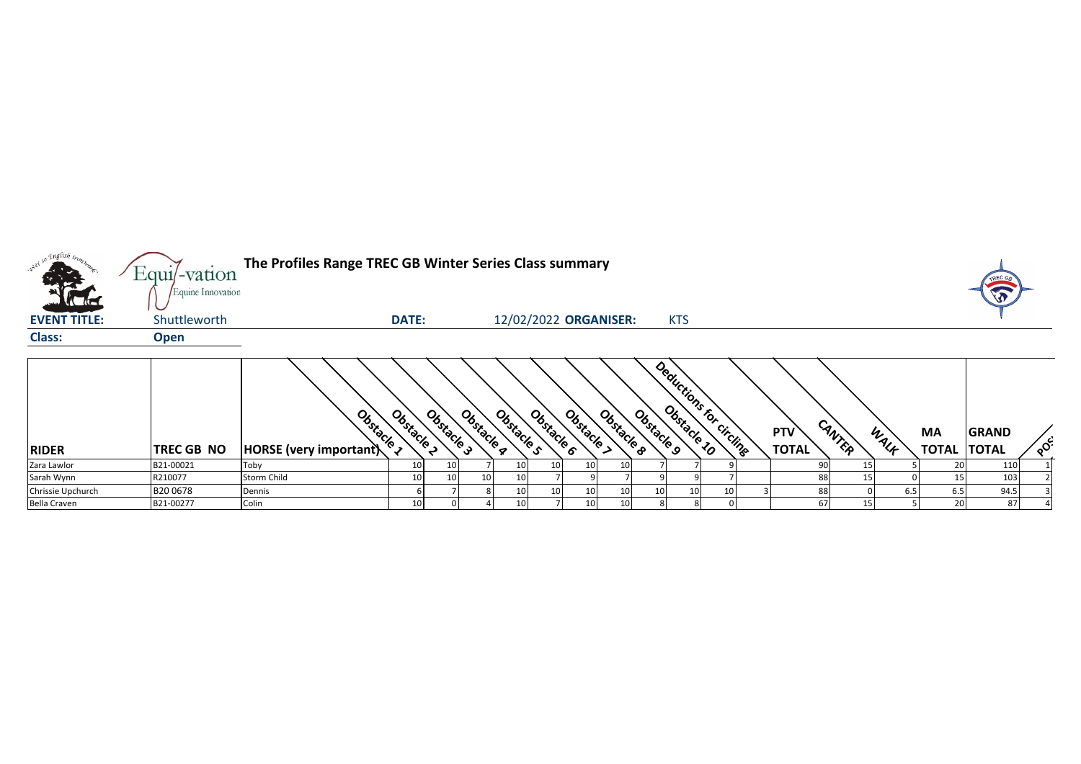

| <b>RIDER</b>      | <b>TREC GB NO</b> | $\boldsymbol{\nu}$<br>Ustacle<br>$ HORSE$ (very important) | "ແ<br><b>PORT</b> | Jstacle | v<br>$\mathcal{Q}_{\alpha}$<br>$\mathcal{P}_{\infty}$ | $\mathcal{L}$<br>৲∿∿<br><b>PRA</b> | v,<br>Jstacle   | v<br>Ostacle    | Obstacle        | Obstacle<br>o | $\mathcal{C}_{\delta_{\mathbf{x}}}$<br><b>POP</b> | ັ້<br>$\mathcal{L}_{\mathcal{A}}$<br><sup>C</sup> ircling<br>۲o | <b>PTV</b><br><b>TOTAL</b> | $\mathcal{A}_{\Lambda}$<br>へん | WALF | <b>MA</b><br>TOTAL | <b>GRAND</b><br><b>TOTAL</b> | $\circ$ |
|-------------------|-------------------|------------------------------------------------------------|-------------------|---------|-------------------------------------------------------|------------------------------------|-----------------|-----------------|-----------------|---------------|---------------------------------------------------|-----------------------------------------------------------------|----------------------------|-------------------------------|------|--------------------|------------------------------|---------|
| Zara Lawlor       | B21-00021         | Toby                                                       | 10 <sub>1</sub>   | 10      |                                                       | - 10                               | 10 <sup>1</sup> | 10 <sup>1</sup> | 10              |               |                                                   |                                                                 |                            |                               |      |                    | 110                          |         |
| Sarah Wynn        | R210077           | <b>Storm Child</b>                                         | 10                | 10      |                                                       |                                    |                 |                 |                 |               |                                                   |                                                                 |                            |                               |      |                    | 103                          |         |
| Chrissie Upchurch | B20 0678          | Dennis                                                     |                   |         |                                                       | 10                                 | $10^{-1}$       | 10 <sup>1</sup> | 10              |               | 10                                                |                                                                 |                            |                               |      | 6.5                | 94.5                         |         |
| Bella Craven      | B21-00277         | Colin                                                      | 10 <sub>1</sub>   |         |                                                       |                                    |                 | 10              | 10 <sub>1</sub> |               |                                                   |                                                                 |                            |                               |      | 20                 | 87                           |         |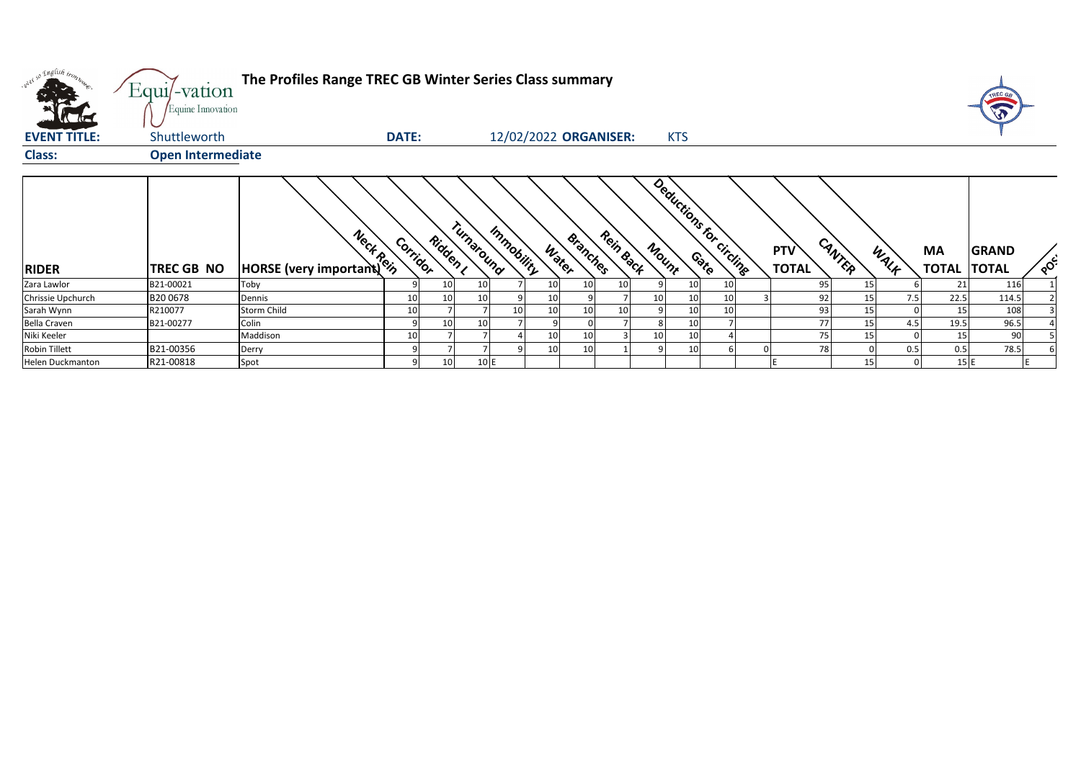| w <sup>ed 50</sup> English bronze | Equi/-vation<br>Equine Innovation | The Profiles Range TREC GB Winter Series Class summary |              |          |            |                       |                   |           |                                   |                 |    |                     |                 |              |                    | TREC GE                      |     |
|-----------------------------------|-----------------------------------|--------------------------------------------------------|--------------|----------|------------|-----------------------|-------------------|-----------|-----------------------------------|-----------------|----|---------------------|-----------------|--------------|--------------------|------------------------------|-----|
| <b>EVENT TITLE:</b>               | Shuttleworth                      |                                                        | <b>DATE:</b> |          |            | 12/02/2022 ORGANISER: |                   |           |                                   | <b>KTS</b>      |    |                     |                 |              |                    |                              |     |
| <b>Class:</b>                     | <b>Open Intermediate</b>          |                                                        |              |          |            |                       |                   |           |                                   |                 |    |                     |                 |              |                    |                              |     |
| <b>RIDER</b>                      | <b>TREC GB NO</b>                 | <b>HORSE</b> (very important)                          | Corridor     | Ridden , | Turnaround | Immobility            | Branches<br>Water | Rein Back | Deductions for circlings<br>Mount |                 |    | PTV<br><b>TOTAL</b> | CANTER          | WALK         | MA<br><b>TOTAL</b> | <b>GRAND</b><br><b>TOTAL</b> | POC |
| Zara Lawlor                       | B21-00021                         | Toby                                                   |              | 10       | 10         | 10                    | 10                | 10        |                                   | 10 <sup>1</sup> | 10 | 95                  | 15 <sup>1</sup> |              | 21                 | 116                          |     |
| Chrissie Upchurch                 | B200678                           | Dennis                                                 | 10           | 10       | 10         |                       |                   |           | 10                                | 10 <sub>1</sub> | 10 | 92                  | 15 <sub>l</sub> | 7.5          | 22.5               | 114.5                        |     |
| Sarah Wynn                        | R210077                           | <b>Storm Child</b>                                     | 10           |          |            | 10                    | 10 <sub>1</sub>   | 10        |                                   | 10              | 10 | 93                  | 15              |              | 15                 | 108                          |     |
| Bella Craven                      | B21-00277                         | Colin                                                  |              | 10       | 10         |                       |                   |           |                                   | 10 <sup>°</sup> |    | 77                  | 15              | 4.5          | 19.5               | 96.5                         |     |
| Niki Keeler                       |                                   | Maddison                                               | 10           |          |            | 10                    | 10                |           | 10                                | 10 <sup>°</sup> |    | 75                  | 15              |              | 15                 | 90                           |     |
| <b>Robin Tillett</b>              | B21-00356                         | Derry                                                  |              |          |            | 10                    | 10                |           |                                   | 10 <sub>1</sub> |    | 78                  |                 | 0.5          | 0.5                | 78.5                         |     |
| Helen Duckmanton                  | R21-00818                         | Spot                                                   |              | 10       | 10 E       |                       |                   |           |                                   |                 |    |                     | 15              | <sup>n</sup> | 15E                |                              |     |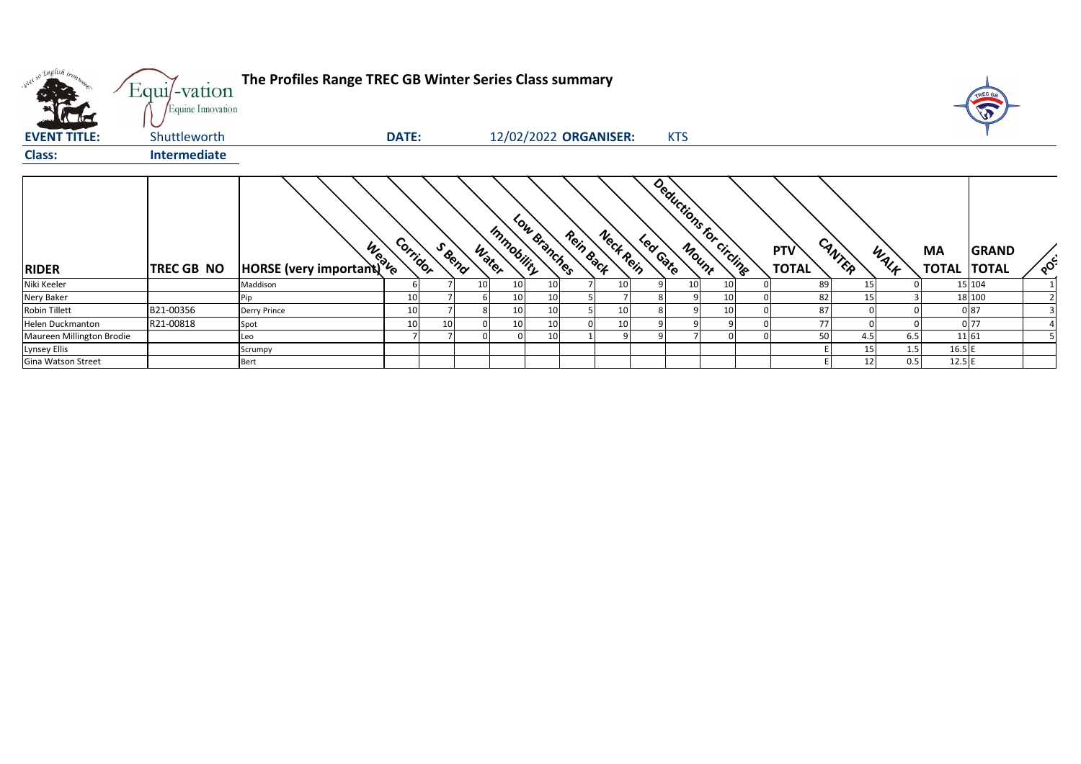| w <sup>ed 50</sup> English trong | Equi/-vation<br>Equine Innovation | The Profiles Range TREC GB Winter Series Class summary |          |    |                |            |                 |           |                       |          |                 |                          |                            |                 |      |                    |                              |     |
|----------------------------------|-----------------------------------|--------------------------------------------------------|----------|----|----------------|------------|-----------------|-----------|-----------------------|----------|-----------------|--------------------------|----------------------------|-----------------|------|--------------------|------------------------------|-----|
| <b>EVENT TITLE:</b>              | Shuttleworth                      |                                                        | DATE:    |    |                |            |                 |           | 12/02/2022 ORGANISER: |          | <b>KTS</b>      |                          |                            |                 |      |                    |                              |     |
| <b>Class:</b>                    | <b>Intermediate</b>               |                                                        |          |    |                |            |                 |           |                       |          |                 |                          |                            |                 |      |                    |                              |     |
| <b>RIDER</b>                     | TREC GB NO                        | <b>HORSE</b> (very important) to                       | Corridor |    | SBend<br>Water | Immobility | Low Branches    | Rein Back | Neck Rein             | Led Gate |                 | Deductions for circlings | <b>PTV</b><br><b>TOTAL</b> | CANTER          | WALF | MA<br><b>TOTAL</b> | <b>GRAND</b><br><b>TOTAL</b> | POS |
| Niki Keeler                      |                                   | Maddison                                               |          |    |                | 10         | 10 <sup>1</sup> |           | 10                    |          | 10 <sup>1</sup> | 10                       | 89                         | 15 <sub>l</sub> |      |                    | 15 104                       |     |
| Nery Baker                       |                                   | Pip                                                    | 10       |    |                | 10         | 10 <sub>1</sub> |           |                       |          |                 | 10                       | 82                         | 15              |      |                    | 18 100                       |     |
| <b>Robin Tillett</b>             | B21-00356                         | Derry Prince                                           | 10       |    |                |            | 10              |           | 10                    |          |                 | 10                       | 87                         |                 |      |                    | 087                          |     |
| Helen Duckmanton                 | R21-00818                         | Spot                                                   | 10       | 10 |                |            | 10              |           | 10                    |          |                 |                          | 77                         |                 |      |                    | 0 77                         |     |
| Maureen Millington Brodie        |                                   | Leo                                                    |          |    |                |            | 10              |           | q                     |          |                 |                          | 50                         | 4.5             | 6.5  |                    | 11 61                        |     |
| Lynsey Ellis                     |                                   | Scrumpy                                                |          |    |                |            |                 |           |                       |          |                 |                          |                            | 15              | 1.5  | $16.5$ E           |                              |     |
| Gina Watson Street               |                                   | Bert                                                   |          |    |                |            |                 |           |                       |          |                 |                          |                            | 12              | 0.5  | 12.5E              |                              |     |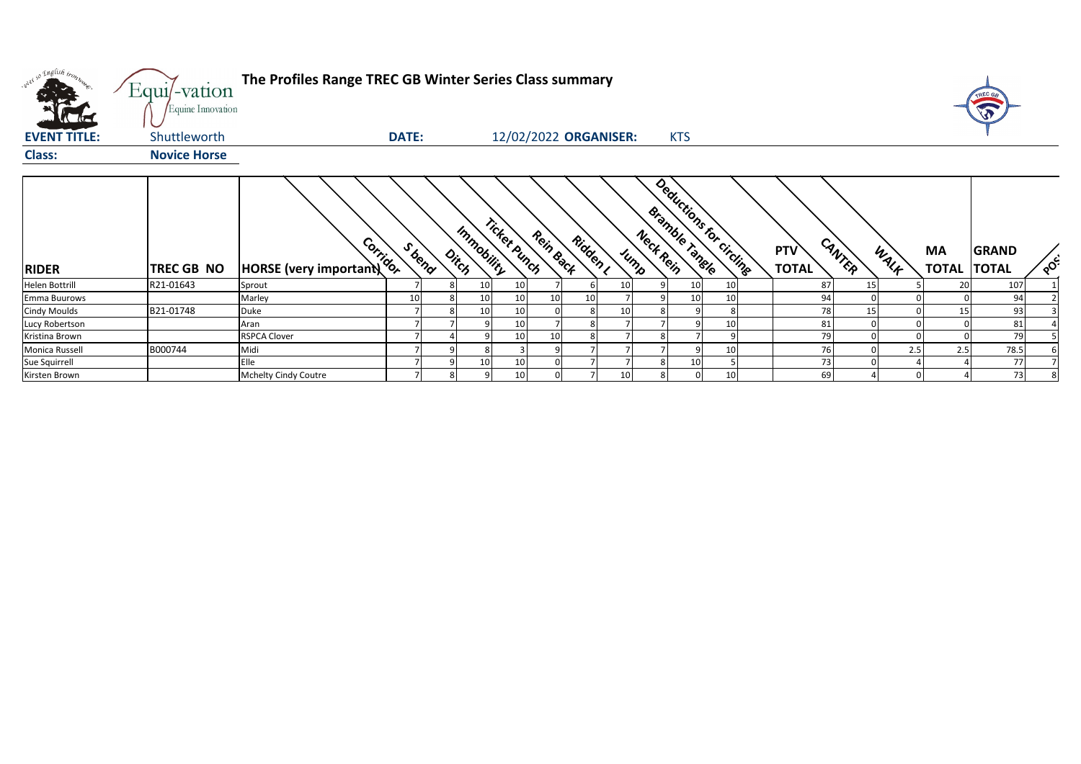| w <sup>ed 50</sup> English bronze | Equi/-vation<br>Equine Innovation | The Profiles Range TREC GB Winter Series Class summary |              |                     |              |                       |        |                 |           |                                            |    |                            |        |      |                          |              |                       |
|-----------------------------------|-----------------------------------|--------------------------------------------------------|--------------|---------------------|--------------|-----------------------|--------|-----------------|-----------|--------------------------------------------|----|----------------------------|--------|------|--------------------------|--------------|-----------------------|
| <b>EVENT TITLE:</b>               | Shuttleworth                      |                                                        | <b>DATE:</b> |                     |              | 12/02/2022 ORGANISER: |        |                 |           | <b>KTS</b>                                 |    |                            |        |      |                          |              |                       |
| <b>Class:</b>                     | <b>Novice Horse</b>               |                                                        |              |                     |              |                       |        |                 |           |                                            |    |                            |        |      |                          |              |                       |
| <b>RIDER</b>                      | <b>TREC GB NO</b>                 | HORSE (very important)                                 | S bend       | Immobility<br>Ditch | Ticket Punch | Rein Back             | Ridden | Jump            | Neck Rein | Deductions for circlings<br>Bramble rangle |    | <b>PTV</b><br><b>TOTAL</b> | CANTER | WALK | MA<br><b>TOTAL TOTAL</b> | <b>GRAND</b> | $\circ^{\mathcal{C}}$ |
| <b>Helen Bottrill</b>             | R21-01643                         | Sprout                                                 |              | 10                  | 10           |                       |        | 10 <sup>1</sup> |           | 10                                         | 10 | 87                         | 15     |      | 20                       | 107          |                       |
| Emma Buurows                      |                                   | Marley                                                 |              | 10                  | 10           | 10                    | 10     |                 |           |                                            |    | 94                         |        |      |                          | 94           |                       |
| <b>Cindy Moulds</b>               | B21-01748                         | Duke                                                   |              | 10                  | 10           |                       |        | 10              |           |                                            |    | 78                         | 15     |      | 15                       | 93           |                       |
| Lucy Robertson                    |                                   | Aran                                                   |              |                     | 10           |                       |        |                 |           |                                            | 10 | 81                         |        |      |                          | 81           |                       |
| Kristina Brown                    |                                   | <b>RSPCA Clover</b>                                    |              |                     | 10           | 10                    |        |                 |           |                                            |    | 79                         |        |      |                          | 79           |                       |
| Monica Russell                    | B000744                           | Midi                                                   |              |                     |              |                       |        |                 |           |                                            | 10 | 76                         |        | 2.5  | 2.5                      | 78.5         |                       |
| Sue Squirrell                     |                                   | Elle                                                   |              | 10                  | 10           |                       |        |                 |           | 10                                         |    | 73                         |        |      |                          | 77           |                       |
| Kirsten Brown                     |                                   | Mchelty Cindy Coutre                                   |              |                     | 10           |                       |        | 10              | 81        |                                            | 10 | 69                         |        |      |                          | 73           |                       |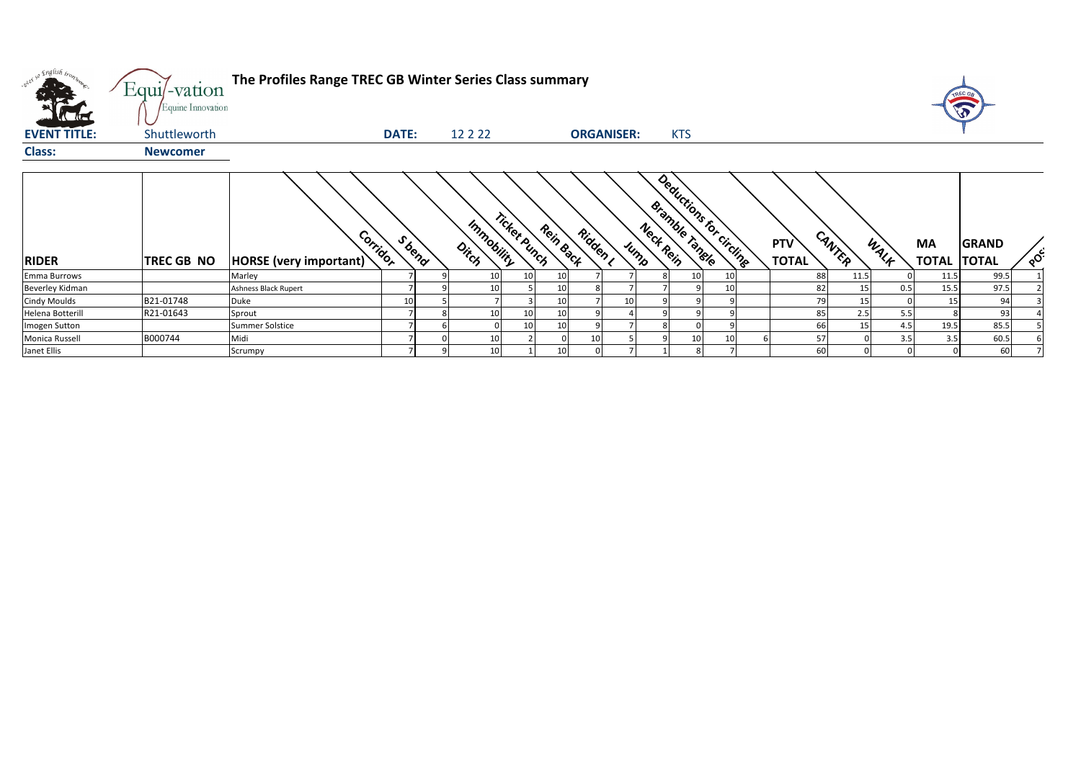| way so English brown | $Equi$ -vation<br>Equine Innovation | The Profiles Range TREC GB Winter Series Class summary |              |        |                     |              |           |                 |                   |                                    |                         |                            |        |      |     |                           | V                            |          |
|----------------------|-------------------------------------|--------------------------------------------------------|--------------|--------|---------------------|--------------|-----------|-----------------|-------------------|------------------------------------|-------------------------|----------------------------|--------|------|-----|---------------------------|------------------------------|----------|
| <b>EVENT TITLE:</b>  | Shuttleworth                        |                                                        | <b>DATE:</b> |        | 12 2 2 2            |              |           |                 | <b>ORGANISER:</b> | <b>KTS</b>                         |                         |                            |        |      |     |                           |                              |          |
| <b>Class:</b>        | <b>Newcomer</b>                     |                                                        |              |        |                     |              |           |                 |                   |                                    |                         |                            |        |      |     |                           |                              |          |
| <b>RIDER</b>         | <b>TREC GB NO</b>                   | Corrigor<br>HORSE (very important)                     |              | S bend | Immobility<br>Ditch | Ticket Punch | Rein Back | Ridden I        | Jump              | <b>Bramble Tangle</b><br>Neck Rein | Deductions for circuite | <b>PTV</b><br><b>TOTAL</b> | CANTER | WALK |     | <b>MA</b><br><b>TOTAL</b> | <b>GRAND</b><br><b>TOTAL</b> | $\delta$ |
| Emma Burrows         |                                     | Marley                                                 |              |        | 10                  | 10           | 10        |                 |                   |                                    | 10<br>10                |                            | 88     | 11.5 |     | 11.5                      | 99.5                         |          |
| Beverley Kidman      |                                     | <b>Ashness Black Rupert</b>                            |              |        | 10                  |              | 10        |                 |                   |                                    |                         |                            | 82     | 15   | 0.5 | 15.5                      | 97.5                         |          |
| <b>Cindy Moulds</b>  | B21-01748                           | Duke                                                   | 10           |        |                     |              |           |                 |                   |                                    |                         |                            | 79     | 15   |     | 15                        | 94                           |          |
| Helena Botterill     | R21-01643                           | Sprout                                                 |              |        | 10                  |              | 10        |                 |                   |                                    |                         |                            | 85     | 2.5  | 5.5 |                           | 93                           |          |
| Imogen Sutton        |                                     | Summer Solstice                                        |              |        |                     |              | 10        |                 |                   |                                    |                         |                            | 66     | 15   | 4.5 | 19.5                      | 85.5                         |          |
| Monica Russell       | B000744                             | Midi                                                   |              |        | 10                  |              |           | 10 <sup>1</sup> |                   |                                    | 10                      |                            | 57     |      | 3.5 | 3.5                       | 60.5                         |          |
| Janet Ellis          |                                     | Scrumpy                                                |              |        | 10                  |              | 10        |                 |                   |                                    |                         |                            | 60     |      |     |                           | 60                           |          |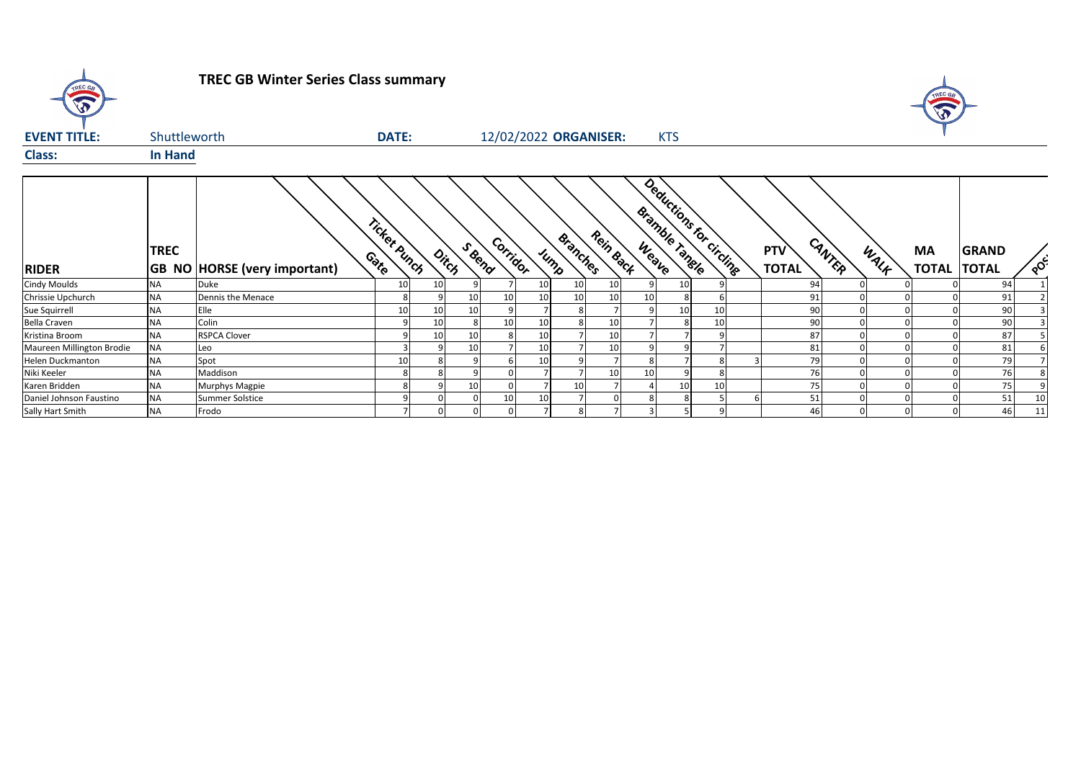

**TREC GB Winter Series Class summary**



| <b>EVENT TITLE:</b>       | Shuttleworth   |                                     | <b>DATE:</b>         |    |                 |          |                 |                  | 12/02/2022 ORGANISER: | <b>KTS</b>     |    |                          |                            |        |      |                    |                              |                                   |
|---------------------------|----------------|-------------------------------------|----------------------|----|-----------------|----------|-----------------|------------------|-----------------------|----------------|----|--------------------------|----------------------------|--------|------|--------------------|------------------------------|-----------------------------------|
| <b>Class:</b>             | <b>In Hand</b> |                                     |                      |    |                 |          |                 |                  |                       |                |    |                          |                            |        |      |                    |                              |                                   |
| <b>RIDER</b>              | <b>TREC</b>    | <b>GB NO HORSE (very important)</b> | Ticket Punch<br>Coto |    | S Bend<br>Ditch | Corridor |                 | Branches<br>Jump | Rein Back             | Bramble Tangle |    | Deductions for circlings | <b>PTV</b><br><b>TOTAL</b> | CANTER | WALF | MA<br><b>TOTAL</b> | <b>GRAND</b><br><b>TOTAL</b> | $\circ^{\mathsf{c}^{\mathsf{c}}}$ |
| <b>Cindy Moulds</b>       | <b>NA</b>      | Duke                                | 10                   | 10 |                 |          | 10 <sup>1</sup> | 10               | 10 <sup>1</sup>       |                | 10 |                          | 94                         |        |      |                    | 94                           |                                   |
| Chrissie Upchurch         | <b>NA</b>      | Dennis the Menace                   |                      |    |                 |          | 10 <sup>1</sup> | 10               | 10                    | 10             | 8  |                          | 91                         |        |      |                    | 91                           |                                   |
| Sue Squirrell             | <b>NA</b>      | Elle                                | 10                   | 10 |                 |          |                 |                  |                       |                | 10 | 10                       | 90                         |        |      |                    | 90                           |                                   |
| Bella Craven              | <b>NA</b>      | Colin                               |                      | 10 |                 |          | 10              |                  | 10                    |                | 8  | 10                       | 90                         |        |      |                    | 90                           |                                   |
| Kristina Broom            | <b>NA</b>      | <b>RSPCA Clover</b>                 |                      | 10 |                 |          | 10              |                  | 10                    |                |    |                          | 87                         |        |      |                    | 87                           |                                   |
| Maureen Millington Brodie | <b>NA</b>      | Leo                                 |                      |    |                 |          | 10              |                  | 10                    |                |    |                          | 81                         |        |      |                    | 81                           |                                   |
| <b>Helen Duckmanton</b>   | <b>NA</b>      | Spot                                | 10                   |    |                 |          | 10 <sup>1</sup> |                  |                       |                |    |                          | 79                         |        |      |                    | 79                           |                                   |
| Niki Keeler               | <b>NA</b>      | Maddison                            |                      |    |                 |          |                 |                  | 10                    | 10             |    |                          | 76                         |        |      |                    | 76                           |                                   |
| Karen Bridden             | <b>NA</b>      | Murphys Magpie                      |                      |    |                 |          |                 | 10               |                       |                | 10 | 10                       | 75                         |        |      |                    | 75                           |                                   |
| Daniel Johnson Faustino   | <b>NA</b>      | <b>Summer Solstice</b>              |                      |    |                 | 10       | 10 <sup>1</sup> |                  |                       |                | 8  |                          | 51                         |        |      |                    | 51                           | 10                                |
| Sally Hart Smith          | <b>NA</b>      | Frodo                               |                      |    |                 |          |                 |                  |                       |                |    |                          | 46                         |        |      |                    | 46                           | 11                                |